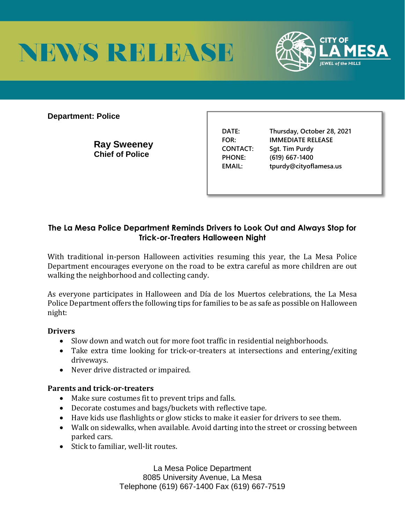



**Department: Police** 

**Ray Sweeney Chief of Police** 

**DATE: Thursday, October 28, 2021 FOR: IMMEDIATE RELEASE CONTACT: Sgt. Tim Purdy PHONE: (619) 667-1400 EMAIL: tpurdy@cityoflamesa.us**

## **The La Mesa Police Department Reminds Drivers to Look Out and Always Stop for Trick-or-Treaters Halloween Night**

With traditional in-person Halloween activities resuming this year, the La Mesa Police Department encourages everyone on the road to be extra careful as more children are out walking the neighborhood and collecting candy.

As everyone participates in Halloween and Día de los Muertos celebrations, the La Mesa Police Department offers the following tips for families to be as safe as possible on Halloween night:

## **Drivers**

- Slow down and watch out for more foot traffic in residential neighborhoods.
- Take extra time looking for trick-or-treaters at intersections and entering/exiting driveways.
- Never drive distracted or impaired.

## **Parents and trick-or-treaters**

- Make sure costumes fit to prevent trips and falls.
- Decorate costumes and bags/buckets with reflective tape.
- Have kids use flashlights or glow sticks to make it easier for drivers to see them.
- Walk on sidewalks, when available. Avoid darting into the street or crossing between parked cars.
- Stick to familiar, well-lit routes.

La Mesa Police Department 8085 University Avenue, La Mesa Telephone (619) 667-1400 Fax (619) 667-7519